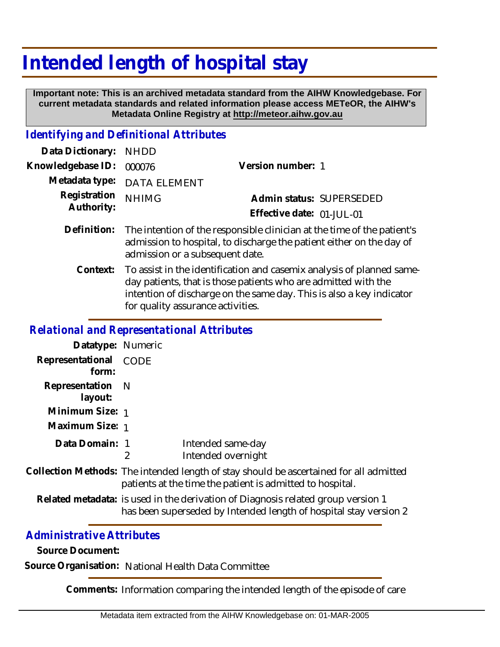## **Intended length of hospital stay**

 **Important note: This is an archived metadata standard from the AIHW Knowledgebase. For current metadata standards and related information please access METeOR, the AIHW's Metadata Online Registry at http://meteor.aihw.gov.au**

## *Identifying and Definitional Attributes*

| Data Dictionary: NHDD            |                                                                                     |                           |                          |
|----------------------------------|-------------------------------------------------------------------------------------|---------------------------|--------------------------|
| Knowledgebase ID: 000076         |                                                                                     | Version number: 1         |                          |
|                                  | Metadata type: DATA ELEMENT                                                         |                           |                          |
| Registration NHIMG<br>Authority: |                                                                                     |                           | Admin status: SUPERSEDED |
|                                  |                                                                                     | Effective date: 01-JUL-01 |                          |
|                                  | Definition: The intention of the responsible clinician at the time of the patient's |                           |                          |

- admission to hospital, to discharge the patient either on the day of admission or a subsequent date.
	- To assist in the identification and casemix analysis of planned sameday patients, that is those patients who are admitted with the intention of discharge on the same day. This is also a key indicator for quality assurance activities. **Context:**

## *Relational and Representational Attributes*

| Datatype: Numeric              |                                                                                                                                                     |                                         |
|--------------------------------|-----------------------------------------------------------------------------------------------------------------------------------------------------|-----------------------------------------|
| Representational CODE<br>form: |                                                                                                                                                     |                                         |
| Representation N<br>layout:    |                                                                                                                                                     |                                         |
| Minimum Size: 1                |                                                                                                                                                     |                                         |
| Maximum Size: 1                |                                                                                                                                                     |                                         |
| Data Domain: 1                 | 2                                                                                                                                                   | Intended same-day<br>Intended overnight |
|                                | Collection Methods: The intended length of stay should be ascertained for all admitted<br>patients at the time the patient is admitted to hospital. |                                         |

Related metadata: is used in the derivation of Diagnosis related group version 1 has been superseded by Intended length of hospital stay version 2

## *Administrative Attributes*

**Source Document:**

**Source Organisation:** National Health Data Committee

**Comments:** Information comparing the intended length of the episode of care